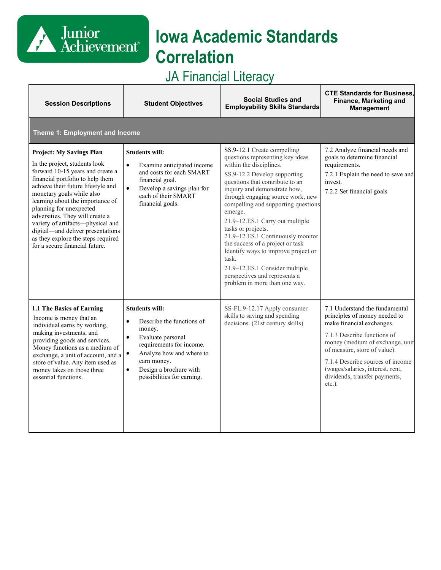# **Iowa Academic Standards Correlation**

## JA Financial Literacy

Junior<br>Achievement<sup>®</sup>

| <b>Session Descriptions</b>                                                                                                                                                                                                                                                                                                                                                                                                                                     | <b>Student Objectives</b>                                                                                                                                                                                                                                            | <b>Social Studies and</b><br><b>Employability Skills Standards</b>                                                                                                                                                                                                                                                                                                                                                                                                                                                                                                         | <b>CTE Standards for Business,</b><br>Finance, Marketing and<br><b>Management</b>                                                                                                                                                                                                                                 |
|-----------------------------------------------------------------------------------------------------------------------------------------------------------------------------------------------------------------------------------------------------------------------------------------------------------------------------------------------------------------------------------------------------------------------------------------------------------------|----------------------------------------------------------------------------------------------------------------------------------------------------------------------------------------------------------------------------------------------------------------------|----------------------------------------------------------------------------------------------------------------------------------------------------------------------------------------------------------------------------------------------------------------------------------------------------------------------------------------------------------------------------------------------------------------------------------------------------------------------------------------------------------------------------------------------------------------------------|-------------------------------------------------------------------------------------------------------------------------------------------------------------------------------------------------------------------------------------------------------------------------------------------------------------------|
| Theme 1: Employment and Income                                                                                                                                                                                                                                                                                                                                                                                                                                  |                                                                                                                                                                                                                                                                      |                                                                                                                                                                                                                                                                                                                                                                                                                                                                                                                                                                            |                                                                                                                                                                                                                                                                                                                   |
| <b>Project: My Savings Plan</b><br>In the project, students look<br>forward 10-15 years and create a<br>financial portfolio to help them<br>achieve their future lifestyle and<br>monetary goals while also<br>learning about the importance of<br>planning for unexpected<br>adversities. They will create a<br>variety of artifacts-physical and<br>digital-and deliver presentations<br>as they explore the steps required<br>for a secure financial future. | <b>Students will:</b><br>Examine anticipated income<br>$\bullet$<br>and costs for each SMART<br>financial goal.<br>$\bullet$<br>Develop a savings plan for<br>each of their SMART<br>financial goals.                                                                | SS.9-12.1 Create compelling<br>questions representing key ideas<br>within the disciplines.<br>SS.9-12.2 Develop supporting<br>questions that contribute to an<br>inquiry and demonstrate how,<br>through engaging source work, new<br>compelling and supporting questions<br>emerge.<br>21.9-12.ES.1 Carry out multiple<br>tasks or projects.<br>21.9-12.ES.1 Continuously monitor<br>the success of a project or task<br>Identify ways to improve project or<br>task.<br>21.9-12.ES.1 Consider multiple<br>perspectives and represents a<br>problem in more than one way. | 7.2 Analyze financial needs and<br>goals to determine financial<br>requirements.<br>7.2.1 Explain the need to save and<br>invest.<br>7.2.2 Set financial goals                                                                                                                                                    |
| 1.1 The Basics of Earning<br>Income is money that an<br>individual earns by working,<br>making investments, and<br>providing goods and services.<br>Money functions as a medium of<br>exchange, a unit of account, and a<br>store of value. Any item used as<br>money takes on those three<br>essential functions.                                                                                                                                              | <b>Students will:</b><br>Describe the functions of<br>$\bullet$<br>money.<br>Evaluate personal<br>$\bullet$<br>requirements for income.<br>Analyze how and where to<br>$\bullet$<br>earn money.<br>Design a brochure with<br>$\bullet$<br>possibilities for earning. | SS-FL.9-12.17 Apply consumer<br>skills to saving and spending<br>decisions. (21st century skills)                                                                                                                                                                                                                                                                                                                                                                                                                                                                          | 7.1 Understand the fundamental<br>principles of money needed to<br>make financial exchanges.<br>7.1.3 Describe functions of<br>money (medium of exchange, unit<br>of measure, store of value).<br>7.1.4 Describe sources of income<br>(wages/salaries, interest, rent,<br>dividends, transfer payments,<br>etc.). |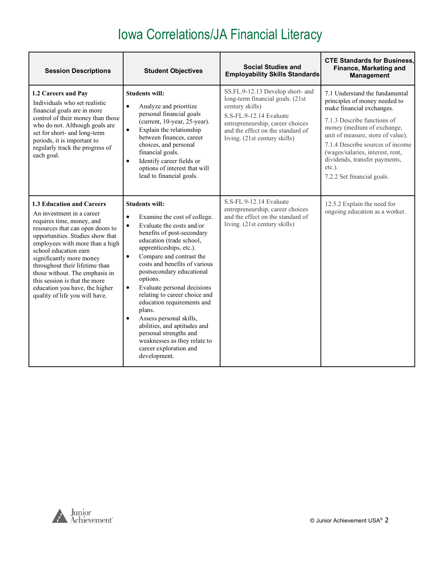| <b>Session Descriptions</b>                                                                                                                                                                                                                                                                                                                                                                                                  | <b>Student Objectives</b>                                                                                                                                                                                                                                                                                                                                                                                                                                                                                                                                                                                             | <b>Social Studies and</b><br><b>Employability Skills Standards</b>                                                                                                                                                           | <b>CTE Standards for Business,</b><br><b>Finance, Marketing and</b><br><b>Management</b>                                                                                                                                                                                                                                                           |
|------------------------------------------------------------------------------------------------------------------------------------------------------------------------------------------------------------------------------------------------------------------------------------------------------------------------------------------------------------------------------------------------------------------------------|-----------------------------------------------------------------------------------------------------------------------------------------------------------------------------------------------------------------------------------------------------------------------------------------------------------------------------------------------------------------------------------------------------------------------------------------------------------------------------------------------------------------------------------------------------------------------------------------------------------------------|------------------------------------------------------------------------------------------------------------------------------------------------------------------------------------------------------------------------------|----------------------------------------------------------------------------------------------------------------------------------------------------------------------------------------------------------------------------------------------------------------------------------------------------------------------------------------------------|
| 1.2 Careers and Pay<br>Individuals who set realistic<br>financial goals are in more<br>control of their money than those<br>who do not. Although goals are<br>set for short- and long-term<br>periods, it is important to<br>regularly track the progress of<br>each goal.                                                                                                                                                   | <b>Students will:</b><br>Analyze and prioritize<br>$\bullet$<br>personal financial goals<br>(current, 10-year, 25-year).<br>Explain the relationship<br>$\bullet$<br>between finances, career<br>choices, and personal<br>financial goals.<br>Identify career fields or<br>$\bullet$<br>options of interest that will<br>lead to financial goals.                                                                                                                                                                                                                                                                     | SS.FL.9-12.13 Develop short- and<br>long-term financial goals. (21st<br>century skills)<br>S.S-FL.9-12.14 Evaluate<br>entrepreneurship, career choices<br>and the effect on the standard of<br>living. (21st century skills) | 7.1 Understand the fundamental<br>principles of money needed to<br>make financial exchanges.<br>7.1.3 Describe functions of<br>money (medium of exchange,<br>unit of measure, store of value).<br>7.1.4 Describe sources of income<br>(wages/salaries, interest, rent,<br>dividends, transfer payments,<br>$etc.$ ).<br>7.2.2 Set financial goals. |
| 1.3 Education and Careers<br>An investment in a career<br>requires time, money, and<br>resources that can open doors to<br>opportunities. Studies show that<br>employees with more than a high<br>school education earn<br>significantly more money<br>throughout their lifetime than<br>those without. The emphasis in<br>this session is that the more<br>education you have, the higher<br>quality of life you will have. | <b>Students will:</b><br>$\bullet$<br>Examine the cost of college.<br>Evaluate the costs and/or<br>$\bullet$<br>benefits of post-secondary<br>education (trade school,<br>apprenticeships, etc.).<br>Compare and contrast the<br>$\bullet$<br>costs and benefits of various<br>postsecondary educational<br>options.<br>Evaluate personal decisions<br>$\bullet$<br>relating to career choice and<br>education requirements and<br>plans.<br>Assess personal skills,<br>$\bullet$<br>abilities, and aptitudes and<br>personal strengths and<br>weaknesses as they relate to<br>career exploration and<br>development. | S.S-FL.9-12.14 Evaluate<br>entrepreneurship, career choices<br>and the effect on the standard of<br>living. (21st century skills)                                                                                            | 12.5.2 Explain the need for<br>ongoing education as a worker.                                                                                                                                                                                                                                                                                      |

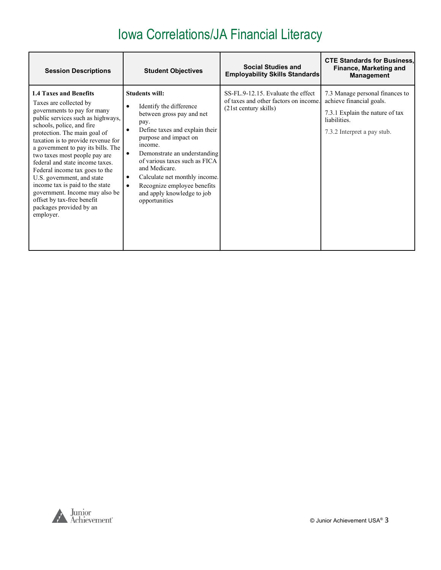| <b>Session Descriptions</b>                                                                                                                                                                                                                                                                                                                                                                                                                                                                                                                         | <b>Student Objectives</b>                                                                                                                                                                                                                                                                                                                                                                | <b>Social Studies and</b><br><b>Employability Skills Standards</b>                                   | <b>CTE Standards for Business.</b><br>Finance, Marketing and<br><b>Management</b>                                                             |
|-----------------------------------------------------------------------------------------------------------------------------------------------------------------------------------------------------------------------------------------------------------------------------------------------------------------------------------------------------------------------------------------------------------------------------------------------------------------------------------------------------------------------------------------------------|------------------------------------------------------------------------------------------------------------------------------------------------------------------------------------------------------------------------------------------------------------------------------------------------------------------------------------------------------------------------------------------|------------------------------------------------------------------------------------------------------|-----------------------------------------------------------------------------------------------------------------------------------------------|
| <b>1.4 Taxes and Benefits</b><br>Taxes are collected by<br>governments to pay for many<br>public services such as highways,<br>schools, police, and fire<br>protection. The main goal of<br>taxation is to provide revenue for<br>a government to pay its bills. The<br>two taxes most people pay are<br>federal and state income taxes.<br>Federal income tax goes to the<br>U.S. government, and state<br>income tax is paid to the state<br>government. Income may also be<br>offset by tax-free benefit<br>packages provided by an<br>employer. | <b>Students will:</b><br>Identify the difference<br>٠<br>between gross pay and net<br>pay.<br>Define taxes and explain their<br>٠<br>purpose and impact on<br>income.<br>Demonstrate an understanding<br>of various taxes such as FICA<br>and Medicare.<br>Calculate net monthly income.<br>٠<br>Recognize employee benefits<br>$\bullet$<br>and apply knowledge to job<br>opportunities | SS-FL.9-12.15. Evaluate the effect<br>of taxes and other factors on income.<br>(21st century skills) | 7.3 Manage personal finances to<br>achieve financial goals.<br>7.3.1 Explain the nature of tax<br>liabilities.<br>7.3.2 Interpret a pay stub. |

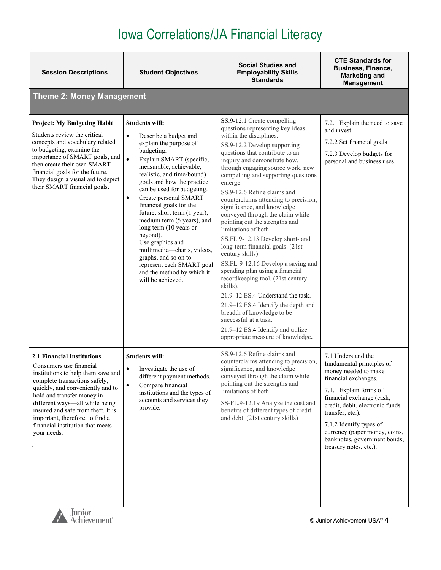| <b>Session Descriptions</b>                                                                                                                                                                                                                                                                                                                                         | <b>Student Objectives</b>                                                                                                                                                                                                                                                                                                                                                                                                                                                                                                                                                                        | <b>Social Studies and</b><br><b>Employability Skills</b><br><b>Standards</b>                                                                                                                                                                                                                                                                                                                                                                                                                                                                                                                                                                                                                                                                                                                                                                                                                                                | <b>CTE Standards for</b><br><b>Business, Finance,</b><br><b>Marketing and</b><br><b>Management</b>                                                                                                                                                                                                                                  |
|---------------------------------------------------------------------------------------------------------------------------------------------------------------------------------------------------------------------------------------------------------------------------------------------------------------------------------------------------------------------|--------------------------------------------------------------------------------------------------------------------------------------------------------------------------------------------------------------------------------------------------------------------------------------------------------------------------------------------------------------------------------------------------------------------------------------------------------------------------------------------------------------------------------------------------------------------------------------------------|-----------------------------------------------------------------------------------------------------------------------------------------------------------------------------------------------------------------------------------------------------------------------------------------------------------------------------------------------------------------------------------------------------------------------------------------------------------------------------------------------------------------------------------------------------------------------------------------------------------------------------------------------------------------------------------------------------------------------------------------------------------------------------------------------------------------------------------------------------------------------------------------------------------------------------|-------------------------------------------------------------------------------------------------------------------------------------------------------------------------------------------------------------------------------------------------------------------------------------------------------------------------------------|
| <b>Theme 2: Money Management</b>                                                                                                                                                                                                                                                                                                                                    |                                                                                                                                                                                                                                                                                                                                                                                                                                                                                                                                                                                                  |                                                                                                                                                                                                                                                                                                                                                                                                                                                                                                                                                                                                                                                                                                                                                                                                                                                                                                                             |                                                                                                                                                                                                                                                                                                                                     |
| <b>Project: My Budgeting Habit</b><br>Students review the critical<br>concepts and vocabulary related<br>to budgeting, examine the<br>importance of SMART goals, and<br>then create their own SMART<br>financial goals for the future.<br>They design a visual aid to depict<br>their SMART financial goals.                                                        | <b>Students will:</b><br>$\bullet$<br>Describe a budget and<br>explain the purpose of<br>budgeting.<br>$\bullet$<br>Explain SMART (specific,<br>measurable, achievable,<br>realistic, and time-bound)<br>goals and how the practice<br>can be used for budgeting.<br>Create personal SMART<br>$\bullet$<br>financial goals for the<br>future: short term (1 year),<br>medium term (5 years), and<br>long term (10 years or<br>beyond).<br>Use graphics and<br>multimedia-charts, videos,<br>graphs, and so on to<br>represent each SMART goal<br>and the method by which it<br>will be achieved. | SS.9-12.1 Create compelling<br>questions representing key ideas<br>within the disciplines.<br>SS.9-12.2 Develop supporting<br>questions that contribute to an<br>inquiry and demonstrate how,<br>through engaging source work, new<br>compelling and supporting questions<br>emerge.<br>SS.9-12.6 Refine claims and<br>counterclaims attending to precision,<br>significance, and knowledge<br>conveyed through the claim while<br>pointing out the strengths and<br>limitations of both.<br>SS.FL.9-12.13 Develop short- and<br>long-term financial goals. (21st<br>century skills)<br>SS.FL-9-12.16 Develop a saving and<br>spending plan using a financial<br>recordkeeping tool. (21st century<br>skills).<br>21.9-12.ES.4 Understand the task.<br>21.9-12.ES.4 Identify the depth and<br>breadth of knowledge to be<br>successful at a task.<br>21.9-12.ES.4 Identify and utilize<br>appropriate measure of knowledge. | 7.2.1 Explain the need to save<br>and invest.<br>7.2.2 Set financial goals<br>7.2.3 Develop budgets for<br>personal and business uses.                                                                                                                                                                                              |
| <b>2.1 Financial Institutions</b><br>Consumers use financial<br>institutions to help them save and<br>complete transactions safely,<br>quickly, and conveniently and to<br>hold and transfer money in<br>different ways-all while being<br>insured and safe from theft. It is<br>important, therefore, to find a<br>financial institution that meets<br>your needs. | <b>Students will:</b><br>Investigate the use of<br>$\bullet$<br>different payment methods.<br>Compare financial<br>$\bullet$<br>institutions and the types of<br>accounts and services they<br>provide.                                                                                                                                                                                                                                                                                                                                                                                          | SS.9-12.6 Refine claims and<br>counterclaims attending to precision,<br>significance, and knowledge<br>conveyed through the claim while<br>pointing out the strengths and<br>limitations of both.<br>SS-FL.9-12.19 Analyze the cost and<br>benefits of different types of credit<br>and debt. (21st century skills)                                                                                                                                                                                                                                                                                                                                                                                                                                                                                                                                                                                                         | 7.1 Understand the<br>fundamental principles of<br>money needed to make<br>financial exchanges.<br>7.1.1 Explain forms of<br>financial exchange (cash,<br>credit, debit, electronic funds<br>transfer, etc.).<br>7.1.2 Identify types of<br>currency (paper money, coins,<br>banknotes, government bonds,<br>treasury notes, etc.). |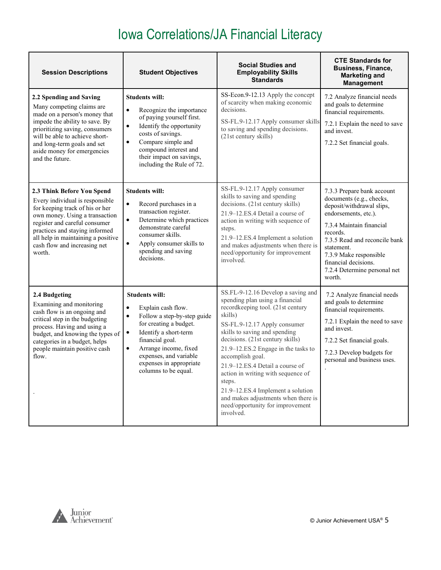| <b>Session Descriptions</b>                                                                                                                                                                                                                                                           | <b>Student Objectives</b>                                                                                                                                                                                                                                                                                  | <b>Social Studies and</b><br><b>Employability Skills</b><br><b>Standards</b>                                                                                                                                                                                                                                                                                                                                                                                                                          | <b>CTE Standards for</b><br><b>Business, Finance,</b><br><b>Marketing and</b><br><b>Management</b>                                                                                                                                                                                             |
|---------------------------------------------------------------------------------------------------------------------------------------------------------------------------------------------------------------------------------------------------------------------------------------|------------------------------------------------------------------------------------------------------------------------------------------------------------------------------------------------------------------------------------------------------------------------------------------------------------|-------------------------------------------------------------------------------------------------------------------------------------------------------------------------------------------------------------------------------------------------------------------------------------------------------------------------------------------------------------------------------------------------------------------------------------------------------------------------------------------------------|------------------------------------------------------------------------------------------------------------------------------------------------------------------------------------------------------------------------------------------------------------------------------------------------|
| 2.2 Spending and Saving<br>Many competing claims are<br>made on a person's money that<br>impede the ability to save. By<br>prioritizing saving, consumers<br>will be able to achieve short-<br>and long-term goals and set<br>aside money for emergencies<br>and the future.          | <b>Students will:</b><br>$\bullet$<br>Recognize the importance<br>of paying yourself first.<br>Identify the opportunity<br>$\bullet$<br>costs of savings.<br>Compare simple and<br>$\bullet$<br>compound interest and<br>their impact on savings,<br>including the Rule of 72.                             | SS-Econ.9-12.13 Apply the concept<br>of scarcity when making economic<br>decisions.<br>SS-FL.9-12.17 Apply consumer skills<br>to saving and spending decisions.<br>(21st century skills)                                                                                                                                                                                                                                                                                                              | 7.2 Analyze financial needs<br>and goals to determine<br>financial requirements.<br>7.2.1 Explain the need to save<br>and invest.<br>7.2.2 Set financial goals.                                                                                                                                |
| 2.3 Think Before You Spend<br>Every individual is responsible<br>for keeping track of his or her<br>own money. Using a transaction<br>register and careful consumer<br>practices and staying informed<br>all help in maintaining a positive<br>cash flow and increasing net<br>worth. | <b>Students will:</b><br>$\bullet$<br>Record purchases in a<br>transaction register.<br>$\bullet$<br>Determine which practices<br>demonstrate careful<br>consumer skills.<br>$\bullet$<br>Apply consumer skills to<br>spending and saving<br>decisions.                                                    | SS-FL.9-12.17 Apply consumer<br>skills to saving and spending<br>decisions. (21st century skills)<br>21.9–12.ES.4 Detail a course of<br>action in writing with sequence of<br>steps.<br>21.9-12.ES.4 Implement a solution<br>and makes adjustments when there is<br>need/opportunity for improvement<br>involved.                                                                                                                                                                                     | 7.3.3 Prepare bank account<br>documents (e.g., checks,<br>deposit/withdrawal slips,<br>endorsements, etc.).<br>7.3.4 Maintain financial<br>records.<br>7.3.5 Read and reconcile bank<br>statement.<br>7.3.9 Make responsible<br>financial decisions.<br>7.2.4 Determine personal net<br>worth. |
| 2.4 Budgeting<br>Examining and monitoring<br>cash flow is an ongoing and<br>critical step in the budgeting<br>process. Having and using a<br>budget, and knowing the types of<br>categories in a budget, helps<br>people maintain positive cash<br>flow.                              | <b>Students will:</b><br>Explain cash flow.<br>$\bullet$<br>Follow a step-by-step guide<br>$\bullet$<br>for creating a budget.<br>Identify a short-term<br>$\bullet$<br>financial goal.<br>Arrange income, fixed<br>$\bullet$<br>expenses, and variable<br>expenses in appropriate<br>columns to be equal. | SS.FL-9-12.16 Develop a saving and<br>spending plan using a financial<br>recordkeeping tool. (21st century<br>skills)<br>SS-FL.9-12.17 Apply consumer<br>skills to saving and spending<br>decisions. (21st century skills)<br>21.9–12.ES.2 Engage in the tasks to<br>accomplish goal.<br>21.9-12.ES.4 Detail a course of<br>action in writing with sequence of<br>steps.<br>21.9-12.ES.4 Implement a solution<br>and makes adjustments when there is<br>need/opportunity for improvement<br>involved. | 7.2 Analyze financial needs<br>and goals to determine<br>financial requirements.<br>7.2.1 Explain the need to save<br>and invest.<br>7.2.2 Set financial goals.<br>7.2.3 Develop budgets for<br>personal and business uses.                                                                    |

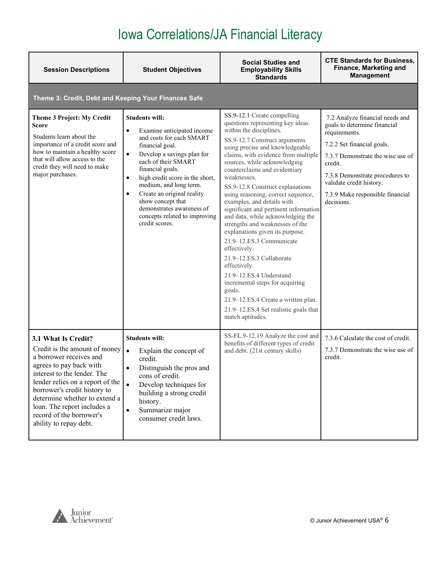| <b>Session Descriptions</b>                                                                                                                                                                                                                                                                                                         | <b>Student Objectives</b>                                                                                                                                                                                                                                                                                                                                                                                                       | <b>Social Studies and</b><br><b>Employability Skills</b><br><b>Standards</b>                                                                                                                                                                                                                                                                                                                                                                                                                                                                                                                                                                                                                                                                                                                                          | <b>CTE Standards for Business,</b><br>Finance, Marketing and<br><b>Management</b>                                                                                                                                                                                               |
|-------------------------------------------------------------------------------------------------------------------------------------------------------------------------------------------------------------------------------------------------------------------------------------------------------------------------------------|---------------------------------------------------------------------------------------------------------------------------------------------------------------------------------------------------------------------------------------------------------------------------------------------------------------------------------------------------------------------------------------------------------------------------------|-----------------------------------------------------------------------------------------------------------------------------------------------------------------------------------------------------------------------------------------------------------------------------------------------------------------------------------------------------------------------------------------------------------------------------------------------------------------------------------------------------------------------------------------------------------------------------------------------------------------------------------------------------------------------------------------------------------------------------------------------------------------------------------------------------------------------|---------------------------------------------------------------------------------------------------------------------------------------------------------------------------------------------------------------------------------------------------------------------------------|
| Theme 3: Credit, Debt and Keeping Your Finances Safe                                                                                                                                                                                                                                                                                |                                                                                                                                                                                                                                                                                                                                                                                                                                 |                                                                                                                                                                                                                                                                                                                                                                                                                                                                                                                                                                                                                                                                                                                                                                                                                       |                                                                                                                                                                                                                                                                                 |
| Theme 3 Project: My Credit<br>Score<br>Students learn about the<br>importance of a credit score and<br>how to maintain a healthy score<br>that will allow access to the<br>credit they will need to make<br>major purchases.                                                                                                        | <b>Students will:</b><br>Examine anticipated income<br>$\bullet$<br>and costs for each SMART<br>financial goal.<br>$\bullet$<br>Develop a savings plan for<br>each of their SMART<br>financial goals.<br>high credit score in the short,<br>$\bullet$<br>medium, and long term.<br>Create an original reality<br>$\bullet$<br>show concept that<br>demonstrates awareness of<br>concepts related to improving<br>credit scores. | SS.9-12.1 Create compelling<br>questions representing key ideas<br>within the disciplines.<br>SS.9-12.7 Construct arguments<br>using precise and knowledgeable<br>claims, with evidence from multiple<br>sources, while acknowledging<br>counterclaims and evidentiary<br>weaknesses.<br>SS.9-12.8 Construct explanations<br>using reasoning, correct sequence,<br>examples, and details with<br>significant and pertinent information<br>and data, while acknowledging the<br>strengths and weaknesses of the<br>explanations given its purpose.<br>21.9-12.ES.3 Communicate<br>effectively.<br>21.9-12.ES.3 Collaborate<br>effectively.<br>21.9-12.ES.4 Understand<br>incremental steps for acquiring<br>goals.<br>21.9-12.ES.4 Create a written plan.<br>21.9-12.ES.4 Set realistic goals that<br>match aptitudes. | 7.2 Analyze financial needs and<br>goals to determine financial<br>requirements.<br>7.2.2 Set financial goals.<br>7.3.7 Demonstrate the wise use of<br>credit.<br>7.3.8 Demonstrate procedures to<br>validate credit history.<br>7.3.9 Make responsible financial<br>decisions. |
| 3.1 What Is Credit?<br>Credit is the amount of money<br>a borrower receives and<br>agrees to pay back with<br>interest to the lender. The<br>lender relies on a report of the<br>borrower's credit history to<br>determine whether to extend a<br>loan. The report includes a<br>record of the borrower's<br>ability to repay debt. | <b>Students will:</b><br>$\bullet$<br>Explain the concept of<br>credit.<br>Distinguish the pros and<br>$\bullet$<br>cons of credit.<br>Develop techniques for<br>$\bullet$<br>building a strong credit<br>history.<br>Summarize major<br>$\bullet$<br>consumer credit laws.                                                                                                                                                     | SS-FL.9-12.19 Analyze the cost and<br>benefits of different types of credit<br>and debt. (21st century skills)                                                                                                                                                                                                                                                                                                                                                                                                                                                                                                                                                                                                                                                                                                        | 7.3.6 Calculate the cost of credit.<br>7.3.7 Demonstrate the wise use of<br>credit.                                                                                                                                                                                             |

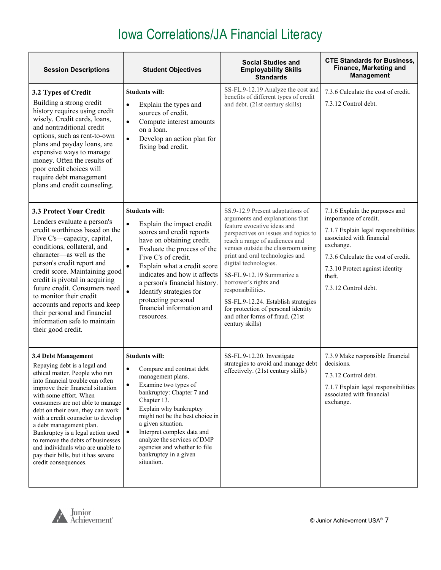| <b>Session Descriptions</b>                                                                                                                                                                                                                                                                                                                                                                                                                                                                                    | <b>Student Objectives</b>                                                                                                                                                                                                                                                                                                                                                                                              | <b>Social Studies and</b><br><b>Employability Skills</b><br><b>Standards</b>                                                                                                                                                                                                                                                                                                                                                                                                                  | <b>CTE Standards for Business,</b><br>Finance, Marketing and<br><b>Management</b>                                                                                                                                                                     |
|----------------------------------------------------------------------------------------------------------------------------------------------------------------------------------------------------------------------------------------------------------------------------------------------------------------------------------------------------------------------------------------------------------------------------------------------------------------------------------------------------------------|------------------------------------------------------------------------------------------------------------------------------------------------------------------------------------------------------------------------------------------------------------------------------------------------------------------------------------------------------------------------------------------------------------------------|-----------------------------------------------------------------------------------------------------------------------------------------------------------------------------------------------------------------------------------------------------------------------------------------------------------------------------------------------------------------------------------------------------------------------------------------------------------------------------------------------|-------------------------------------------------------------------------------------------------------------------------------------------------------------------------------------------------------------------------------------------------------|
| 3.2 Types of Credit<br>Building a strong credit<br>history requires using credit<br>wisely. Credit cards, loans,<br>and nontraditional credit<br>options, such as rent-to-own<br>plans and payday loans, are<br>expensive ways to manage<br>money. Often the results of<br>poor credit choices will<br>require debt management<br>plans and credit counseling.                                                                                                                                                 | <b>Students will:</b><br>Explain the types and<br>$\bullet$<br>sources of credit.<br>Compute interest amounts<br>$\bullet$<br>on a loan.<br>Develop an action plan for<br>$\bullet$<br>fixing bad credit.                                                                                                                                                                                                              | SS-FL.9-12.19 Analyze the cost and<br>benefits of different types of credit<br>and debt. (21st century skills)                                                                                                                                                                                                                                                                                                                                                                                | 7.3.6 Calculate the cost of credit.<br>7.3.12 Control debt.                                                                                                                                                                                           |
| <b>3.3 Protect Your Credit</b><br>Lenders evaluate a person's<br>credit worthiness based on the<br>Five C's-capacity, capital,<br>conditions, collateral, and<br>character-as well as the<br>person's credit report and<br>credit score. Maintaining good<br>credit is pivotal in acquiring<br>future credit. Consumers need<br>to monitor their credit<br>accounts and reports and keep<br>their personal and financial<br>information safe to maintain<br>their good credit.                                 | <b>Students will:</b><br>$\bullet$<br>Explain the impact credit<br>scores and credit reports<br>have on obtaining credit.<br>Evaluate the process of the<br>$\bullet$<br>Five C's of credit.<br>Explain what a credit score<br>indicates and how it affects<br>a person's financial history.<br>$\bullet$<br>Identify strategies for<br>protecting personal<br>financial information and<br>resources.                 | SS.9-12.9 Present adaptations of<br>arguments and explanations that<br>feature evocative ideas and<br>perspectives on issues and topics to<br>reach a range of audiences and<br>venues outside the classroom using<br>print and oral technologies and<br>digital technologies.<br>SS-FL.9-12.19 Summarize a<br>borrower's rights and<br>responsibilities.<br>SS-FL.9-12.24. Establish strategies<br>for protection of personal identity<br>and other forms of fraud. (21st<br>century skills) | 7.1.6 Explain the purposes and<br>importance of credit.<br>7.1.7 Explain legal responsibilities<br>associated with financial<br>exchange.<br>7.3.6 Calculate the cost of credit.<br>7.3.10 Protect against identity<br>theft.<br>7.3.12 Control debt. |
| 3.4 Debt Management<br>Repaying debt is a legal and<br>ethical matter. People who run<br>into financial trouble can often<br>improve their financial situation<br>with some effort. When<br>consumers are not able to manage<br>debt on their own, they can work<br>with a credit counselor to develop<br>a debt management plan.<br>Bankruptcy is a legal action used<br>to remove the debts of businesses<br>and individuals who are unable to<br>pay their bills, but it has severe<br>credit consequences. | <b>Students will:</b><br>Compare and contrast debt<br>$\bullet$<br>management plans.<br>Examine two types of<br>$\bullet$<br>bankruptcy: Chapter 7 and<br>Chapter 13.<br>$\bullet$<br>Explain why bankruptcy<br>might not be the best choice in<br>a given situation.<br>Interpret complex data and<br>$\bullet$<br>analyze the services of DMP<br>agencies and whether to file<br>bankruptcy in a given<br>situation. | SS-FL.9-12.20. Investigate<br>strategies to avoid and manage debt<br>effectively. (21st century skills)                                                                                                                                                                                                                                                                                                                                                                                       | 7.3.9 Make responsible financial<br>decisions.<br>7.3.12 Control debt.<br>7.1.7 Explain legal responsibilities<br>associated with financial<br>exchange.                                                                                              |

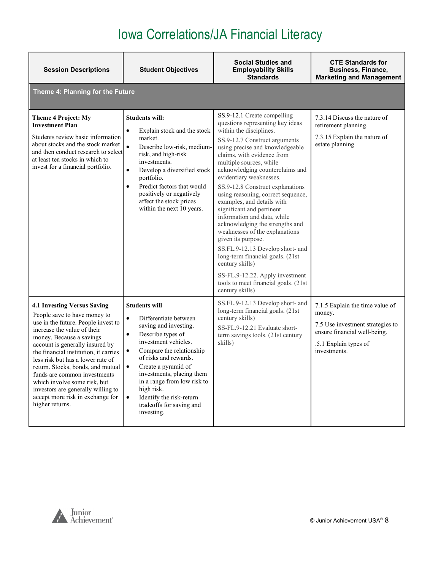| <b>Session Descriptions</b>                                                                                                                                                                                                                                                                                                                                                                                                                                                             | <b>Student Objectives</b>                                                                                                                                                                                                                                                                                                                                                                                        | <b>Social Studies and</b><br><b>Employability Skills</b><br><b>Standards</b>                                                                                                                                                                                                                                                                                                                                                                                                                                                                                                                                                                                                                                                                  | <b>CTE Standards for</b><br><b>Business, Finance,</b><br><b>Marketing and Management</b>                                                               |
|-----------------------------------------------------------------------------------------------------------------------------------------------------------------------------------------------------------------------------------------------------------------------------------------------------------------------------------------------------------------------------------------------------------------------------------------------------------------------------------------|------------------------------------------------------------------------------------------------------------------------------------------------------------------------------------------------------------------------------------------------------------------------------------------------------------------------------------------------------------------------------------------------------------------|-----------------------------------------------------------------------------------------------------------------------------------------------------------------------------------------------------------------------------------------------------------------------------------------------------------------------------------------------------------------------------------------------------------------------------------------------------------------------------------------------------------------------------------------------------------------------------------------------------------------------------------------------------------------------------------------------------------------------------------------------|--------------------------------------------------------------------------------------------------------------------------------------------------------|
| Theme 4: Planning for the Future                                                                                                                                                                                                                                                                                                                                                                                                                                                        |                                                                                                                                                                                                                                                                                                                                                                                                                  |                                                                                                                                                                                                                                                                                                                                                                                                                                                                                                                                                                                                                                                                                                                                               |                                                                                                                                                        |
| <b>Theme 4 Project: My</b><br><b>Investment Plan</b><br>Students review basic information<br>about stocks and the stock market<br>and then conduct research to select<br>at least ten stocks in which to<br>invest for a financial portfolio.                                                                                                                                                                                                                                           | <b>Students will:</b><br>$\bullet$<br>Explain stock and the stock<br>market.<br>$\bullet$<br>Describe low-risk, medium-<br>risk, and high-risk<br>investments.<br>Develop a diversified stock<br>$\bullet$<br>portfolio.<br>Predict factors that would<br>$\bullet$<br>positively or negatively<br>affect the stock prices<br>within the next 10 years.                                                          | SS.9-12.1 Create compelling<br>questions representing key ideas<br>within the disciplines.<br>SS.9-12.7 Construct arguments<br>using precise and knowledgeable<br>claims, with evidence from<br>multiple sources, while<br>acknowledging counterclaims and<br>evidentiary weaknesses.<br>SS.9-12.8 Construct explanations<br>using reasoning, correct sequence,<br>examples, and details with<br>significant and pertinent<br>information and data, while<br>acknowledging the strengths and<br>weaknesses of the explanations<br>given its purpose.<br>SS.FL.9-12.13 Develop short- and<br>long-term financial goals. (21st<br>century skills)<br>SS-FL.9-12.22. Apply investment<br>tools to meet financial goals. (21st<br>century skills) | 7.3.14 Discuss the nature of<br>retirement planning.<br>7.3.15 Explain the nature of<br>estate planning                                                |
| <b>4.1 Investing Versus Saving</b><br>People save to have money to<br>use in the future. People invest to<br>increase the value of their<br>money. Because a savings<br>account is generally insured by<br>the financial institution, it carries<br>less risk but has a lower rate of<br>return. Stocks, bonds, and mutual<br>funds are common investments<br>which involve some risk, but<br>investors are generally willing to<br>accept more risk in exchange for<br>higher returns. | <b>Students will</b><br>$\bullet$<br>Differentiate between<br>saving and investing.<br>Describe types of<br>$\bullet$<br>investment vehicles.<br>Compare the relationship<br>$\bullet$<br>of risks and rewards.<br>Create a pyramid of<br>$\bullet$<br>investments, placing them<br>in a range from low risk to<br>high risk.<br>Identify the risk-return<br>$\bullet$<br>tradeoffs for saving and<br>investing. | SS.FL.9-12.13 Develop short- and<br>long-term financial goals. (21st<br>century skills)<br>SS-FL.9-12.21 Evaluate short-<br>term savings tools. (21st century<br>skills)                                                                                                                                                                                                                                                                                                                                                                                                                                                                                                                                                                      | 7.1.5 Explain the time value of<br>money.<br>7.5 Use investment strategies to<br>ensure financial well-being.<br>.5.1 Explain types of<br>investments. |

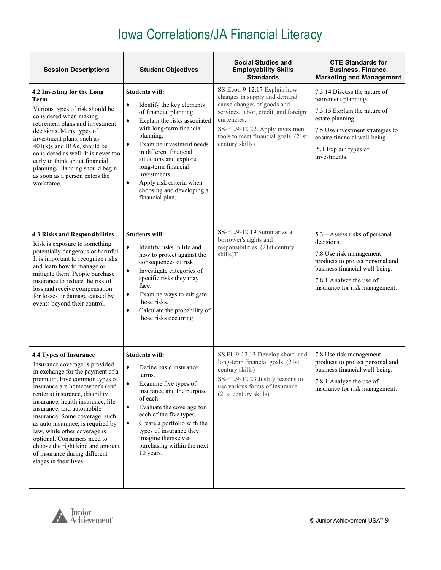| <b>Session Descriptions</b>                                                                                                                                                                                                                                                                                                                                                                                                                                                                               | <b>Student Objectives</b>                                                                                                                                                                                                                                                                                                                                                                                    | <b>Social Studies and</b><br><b>Employability Skills</b><br><b>Standards</b>                                                                                                                                                                   | <b>CTE Standards for</b><br><b>Business, Finance,</b><br><b>Marketing and Management</b>                                                                                                                              |
|-----------------------------------------------------------------------------------------------------------------------------------------------------------------------------------------------------------------------------------------------------------------------------------------------------------------------------------------------------------------------------------------------------------------------------------------------------------------------------------------------------------|--------------------------------------------------------------------------------------------------------------------------------------------------------------------------------------------------------------------------------------------------------------------------------------------------------------------------------------------------------------------------------------------------------------|------------------------------------------------------------------------------------------------------------------------------------------------------------------------------------------------------------------------------------------------|-----------------------------------------------------------------------------------------------------------------------------------------------------------------------------------------------------------------------|
| 4.2 Investing for the Long<br>Term<br>Various types of risk should be<br>considered when making<br>retirement plans and investment<br>decisions. Many types of<br>investment plans, such as<br>401(k)s and IRAs, should be<br>considered as well. It is never too<br>early to think about financial<br>planning. Planning should begin<br>as soon as a person enters the<br>workforce.                                                                                                                    | <b>Students will:</b><br>Identify the key elements<br>$\bullet$<br>of financial planning.<br>Explain the risks associated<br>$\bullet$<br>with long-term financial<br>planning.<br>Examine investment needs<br>$\bullet$<br>in different financial<br>situations and explore<br>long-term financial<br>investments.<br>Apply risk criteria when<br>$\bullet$<br>choosing and developing a<br>financial plan. | SS-Econ-9-12.17 Explain how<br>changes in supply and demand<br>cause changes of goods and<br>services, labor, credit, and foreign<br>currencies.<br>SS-FL.9-12.22. Apply investment<br>tools to meet financial goals. (21st<br>century skills) | 7.3.14 Discuss the nature of<br>retirement planning.<br>7.3.15 Explain the nature of<br>estate planning.<br>7.5 Use investment strategies to<br>ensure financial well-being.<br>.5.1 Explain types of<br>investments. |
| <b>4.3 Risks and Responsibilities</b><br>Risk is exposure to something<br>potentially dangerous or harmful.<br>It is important to recognize risks<br>and learn how to manage or<br>mitigate them. People purchase<br>insurance to reduce the risk of<br>loss and receive compensation<br>for losses or damage caused by<br>events beyond their control.                                                                                                                                                   | <b>Students will:</b><br>$\bullet$<br>Identify risks in life and<br>how to protect against the<br>consequences of risk.<br>Investigate categories of<br>$\bullet$<br>specific risks they may<br>face.<br>Examine ways to mitigate<br>٠<br>those risks.<br>Calculate the probability of<br>$\bullet$<br>those risks occurring                                                                                 | SS-FL.9-12.19 Summarize a<br>borrower's rights and<br>responsibilities. (21st century<br>skills)T                                                                                                                                              | 5.3.4 Assess risks of personal<br>decisions.<br>7.8 Use risk management<br>products to protect personal and<br>business financial well-being.<br>7.8.1 Analyze the use of<br>insurance for risk management.           |
| 4.4 Types of Insurance<br>Insurance coverage is provided<br>in exchange for the payment of a<br>premium. Five common types of<br>insurance are homeowner's (and<br>renter's) insurance, disability<br>insurance, health insurance, life<br>insurance, and automobile<br>insurance. Some coverage, such<br>as auto insurance, is required by<br>law, while other coverage is<br>optional. Consumers need to<br>choose the right kind and amount<br>of insurance during different<br>stages in their lives. | <b>Students will:</b><br>$\bullet$<br>Define basic insurance<br>terms.<br>$\bullet$<br>Examine five types of<br>insurance and the purpose<br>of each.<br>Evaluate the coverage for<br>$\bullet$<br>each of the five types.<br>Create a portfolio with the<br>$\bullet$<br>types of insurance they<br>imagine themselves<br>purchasing within the next<br>10 years.                                           | SS.FL.9-12.13 Develop short- and<br>long-term financial goals. (21st<br>century skills)<br>SS-FL.9-12.23 Justify reasons to<br>use various forms of insurance.<br>(21st century skills)                                                        | 7.8 Use risk management<br>products to protect personal and<br>business financial well-being.<br>7.8.1 Analyze the use of<br>insurance for risk management.                                                           |